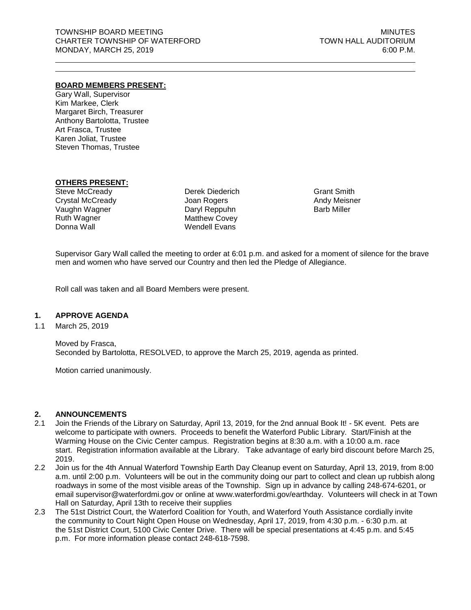## **BOARD MEMBERS PRESENT:**

Gary Wall, Supervisor Kim Markee, Clerk Margaret Birch, Treasurer Anthony Bartolotta, Trustee Art Frasca, Trustee Karen Joliat, Trustee Steven Thomas, Trustee

# **OTHERS PRESENT:**

**Steve McCready** Crystal McCready Vaughn Wagner Ruth Wagner Donna Wall

Derek Diederich Joan Rogers Daryl Reppuhn Matthew Covey Wendell Evans

Grant Smith Andy Meisner Barb Miller

Supervisor Gary Wall called the meeting to order at 6:01 p.m. and asked for a moment of silence for the brave men and women who have served our Country and then led the Pledge of Allegiance.

Roll call was taken and all Board Members were present.

## **1. APPROVE AGENDA**

1.1 March 25, 2019

Moved by Frasca, Seconded by Bartolotta, RESOLVED, to approve the March 25, 2019, agenda as printed.

Motion carried unanimously.

## **2. ANNOUNCEMENTS**

- 2.1 Join the Friends of the Library on Saturday, April 13, 2019, for the 2nd annual Book It! 5K event. Pets are welcome to participate with owners. Proceeds to benefit the Waterford Public Library. Start/Finish at the Warming House on the Civic Center campus. Registration begins at 8:30 a.m. with a 10:00 a.m. race start. Registration information available at the Library. Take advantage of early bird discount before March 25, 2019.
- 2.2 Join us for the 4th Annual Waterford Township Earth Day Cleanup event on Saturday, April 13, 2019, from 8:00 a.m. until 2:00 p.m. Volunteers will be out in the community doing our part to collect and clean up rubbish along roadways in some of the most visible areas of the Township. Sign up in advance by calling 248-674-6201, or email supervisor@waterfordmi.gov or online at www.waterfordmi.gov/earthday. Volunteers will check in at Town Hall on Saturday, April 13th to receive their supplies
- 2.3 The 51st District Court, the Waterford Coalition for Youth, and Waterford Youth Assistance cordially invite the community to Court Night Open House on Wednesday, April 17, 2019, from 4:30 p.m. - 6:30 p.m. at the 51st District Court, 5100 Civic Center Drive. There will be special presentations at 4:45 p.m. and 5:45 p.m. For more information please contact 248-618-7598.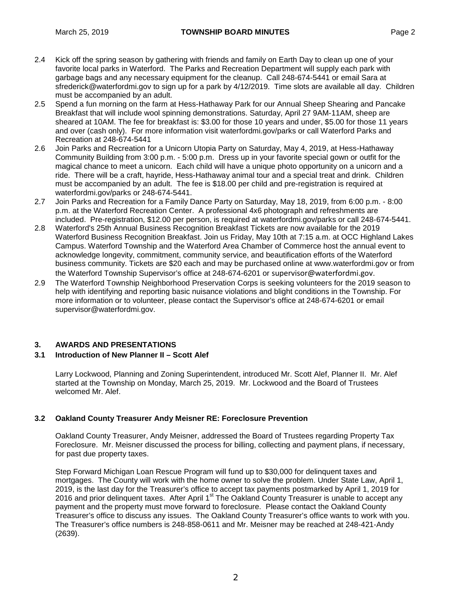- 2.4 Kick off the spring season by gathering with friends and family on Earth Day to clean up one of your favorite local parks in Waterford. The Parks and Recreation Department will supply each park with garbage bags and any necessary equipment for the cleanup. Call 248-674-5441 or email Sara at [sfrederick@waterfordmi.gov](mailto:sfrederick@waterfordmi.gov) to sign up for a park by 4/12/2019. Time slots are available all day. Children must be accompanied by an adult.
- 2.5 Spend a fun morning on the farm at Hess-Hathaway Park for our Annual Sheep Shearing and Pancake Breakfast that will include wool spinning demonstrations. Saturday, April 27 9AM-11AM, sheep are sheared at 10AM. The fee for breakfast is: \$3.00 for those 10 years and under, \$5.00 for those 11 years and over (cash only). For more information visit waterfordmi.gov/parks or call Waterford Parks and Recreation at 248-674-5441
- 2.6 Join Parks and Recreation for a Unicorn Utopia Party on Saturday, May 4, 2019, at Hess-Hathaway Community Building from 3:00 p.m. - 5:00 p.m. Dress up in your favorite special gown or outfit for the magical chance to meet a unicorn. Each child will have a unique photo opportunity on a unicorn and a ride. There will be a craft, hayride, Hess-Hathaway animal tour and a special treat and drink. Children must be accompanied by an adult. The fee is \$18.00 per child and pre-registration is required at waterfordmi.gov/parks or 248-674-5441.
- 2.7 Join Parks and Recreation for a Family Dance Party on Saturday, May 18, 2019, from 6:00 p.m. 8:00 p.m. at the Waterford Recreation Center. A professional 4x6 photograph and refreshments are included. Pre-registration, \$12.00 per person, is required at waterfordmi.gov/parks or call 248-674-5441.
- 2.8 Waterford's 25th Annual Business Recognition Breakfast Tickets are now available for the 2019 Waterford Business Recognition Breakfast. Join us Friday, May 10th at 7:15 a.m. at OCC Highland Lakes Campus. Waterford Township and the Waterford Area Chamber of Commerce host the annual event to acknowledge longevity, commitment, community service, and beautification efforts of the Waterford business community. Tickets are \$20 each and may be purchased online at www.waterfordmi.gov or from the Waterford Township Supervisor's office at 248-674-6201 or [supervisor@waterfordmi.gov](mailto:supervisor@waterfordmi.gov).
- 2.9 The Waterford Township Neighborhood Preservation Corps is seeking volunteers for the 2019 season to help with identifying and reporting basic nuisance violations and blight conditions in the Township. For more information or to volunteer, please contact the Supervisor's office at 248-674-6201 or email supervisor@waterfordmi.gov.

# **3. AWARDS AND PRESENTATIONS**

## **3.1 Introduction of New Planner II – Scott Alef**

Larry Lockwood, Planning and Zoning Superintendent, introduced Mr. Scott Alef, Planner II. Mr. Alef started at the Township on Monday, March 25, 2019. Mr. Lockwood and the Board of Trustees welcomed Mr. Alef.

# **3.2 Oakland County Treasurer Andy Meisner RE: Foreclosure Prevention**

Oakland County Treasurer, Andy Meisner, addressed the Board of Trustees regarding Property Tax Foreclosure. Mr. Meisner discussed the process for billing, collecting and payment plans, if necessary, for past due property taxes.

Step Forward Michigan Loan Rescue Program will fund up to \$30,000 for delinquent taxes and mortgages. The County will work with the home owner to solve the problem. Under State Law, April 1, 2019, is the last day for the Treasurer's office to accept tax payments postmarked by April 1, 2019 for 2016 and prior delinquent taxes. After April 1<sup>st</sup> The Oakland County Treasurer is unable to accept any payment and the property must move forward to foreclosure. Please contact the Oakland County Treasurer's office to discuss any issues. The Oakland County Treasurer's office wants to work with you. The Treasurer's office numbers is 248-858-0611 and Mr. Meisner may be reached at 248-421-Andy (2639).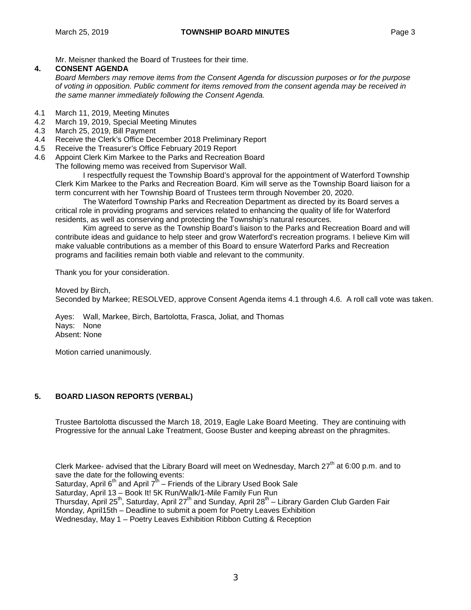Mr. Meisner thanked the Board of Trustees for their time.

## **4. CONSENT AGENDA**

*Board Members may remove items from the Consent Agenda for discussion purposes or for the purpose of voting in opposition. Public comment for items removed from the consent agenda may be received in the same manner immediately following the Consent Agenda.*

- 4.1 March 11, 2019, Meeting Minutes
- 4.2 March 19, 2019, Special Meeting Minutes
- 4.3 March 25, 2019, Bill Payment
- 4.4 Receive the Clerk's Office December 2018 Preliminary Report
- 4.5 Receive the Treasurer's Office February 2019 Report
- 4.6 Appoint Clerk Kim Markee to the Parks and Recreation Board

The following memo was received from Supervisor Wall.

I respectfully request the Township Board's approval for the appointment of Waterford Township Clerk Kim Markee to the Parks and Recreation Board. Kim will serve as the Township Board liaison for a term concurrent with her Township Board of Trustees term through November 20, 2020.

The Waterford Township Parks and Recreation Department as directed by its Board serves a critical role in providing programs and services related to enhancing the quality of life for Waterford residents, as well as conserving and protecting the Township's natural resources.

Kim agreed to serve as the Township Board's liaison to the Parks and Recreation Board and will contribute ideas and guidance to help steer and grow Waterford's recreation programs. I believe Kim will make valuable contributions as a member of this Board to ensure Waterford Parks and Recreation programs and facilities remain both viable and relevant to the community.

Thank you for your consideration.

Moved by Birch,

Seconded by Markee; RESOLVED, approve Consent Agenda items 4.1 through 4.6. A roll call vote was taken.

Ayes: Wall, Markee, Birch, Bartolotta, Frasca, Joliat, and Thomas Nays: None Absent: None

Motion carried unanimously.

# **5. BOARD LIASON REPORTS (VERBAL)**

Trustee Bartolotta discussed the March 18, 2019, Eagle Lake Board Meeting. They are continuing with Progressive for the annual Lake Treatment, Goose Buster and keeping abreast on the phragmites.

Clerk Markee- advised that the Library Board will meet on Wednesday, March  $27<sup>th</sup>$  at 6:00 p.m. and to save the date for the following events:

Saturday, April  $6<sup>th</sup>$  and April  $7<sup>th</sup>$  – Friends of the Library Used Book Sale

Saturday, April 13 – Book It! 5K Run/Walk/1-Mile Family Fun Run

Thursday, April 25<sup>th</sup>, Saturday, April 27<sup>th</sup> and Sunday, April 28<sup>th</sup> – Library Garden Club Garden Fair

Monday, April15th – Deadline to submit a poem for Poetry Leaves Exhibition

Wednesday, May 1 – Poetry Leaves Exhibition Ribbon Cutting & Reception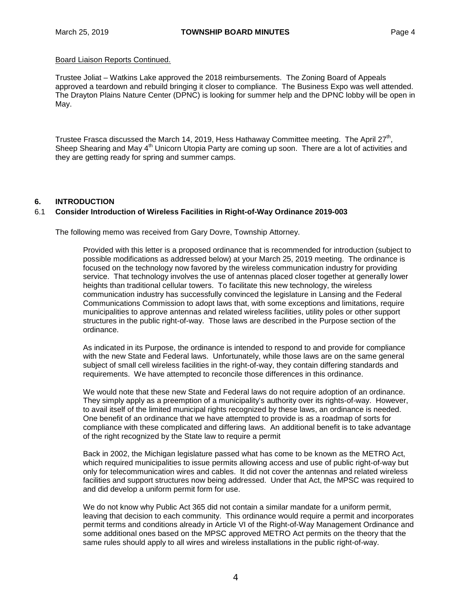## Board Liaison Reports Continued.

Trustee Joliat – Watkins Lake approved the 2018 reimbursements. The Zoning Board of Appeals approved a teardown and rebuild bringing it closer to compliance. The Business Expo was well attended. The Drayton Plains Nature Center (DPNC) is looking for summer help and the DPNC lobby will be open in May.

Trustee Frasca discussed the March 14, 2019, Hess Hathaway Committee meeting. The April 27<sup>th</sup>, Sheep Shearing and May 4<sup>th</sup> Unicorn Utopia Party are coming up soon. There are a lot of activities and they are getting ready for spring and summer camps.

# **6. INTRODUCTION**

# 6.1 **Consider Introduction of Wireless Facilities in Right-of-Way Ordinance 2019-003**

The following memo was received from Gary Dovre, Township Attorney.

Provided with this letter is a proposed ordinance that is recommended for introduction (subject to possible modifications as addressed below) at your March 25, 2019 meeting. The ordinance is focused on the technology now favored by the wireless communication industry for providing service. That technology involves the use of antennas placed closer together at generally lower heights than traditional cellular towers. To facilitate this new technology, the wireless communication industry has successfully convinced the legislature in Lansing and the Federal Communications Commission to adopt laws that, with some exceptions and limitations, require municipalities to approve antennas and related wireless facilities, utility poles or other support structures in the public right-of-way. Those laws are described in the Purpose section of the ordinance.

As indicated in its Purpose, the ordinance is intended to respond to and provide for compliance with the new State and Federal laws. Unfortunately, while those laws are on the same general subject of small cell wireless facilities in the right-of-way, they contain differing standards and requirements. We have attempted to reconcile those differences in this ordinance.

We would note that these new State and Federal laws do not require adoption of an ordinance. They simply apply as a preemption of a municipality's authority over its rights-of-way. However, to avail itself of the limited municipal rights recognized by these laws, an ordinance is needed. One benefit of an ordinance that we have attempted to provide is as a roadmap of sorts for compliance with these complicated and differing laws. An additional benefit is to take advantage of the right recognized by the State law to require a permit

Back in 2002, the Michigan legislature passed what has come to be known as the METRO Act, which required municipalities to issue permits allowing access and use of public right-of-way but only for telecommunication wires and cables. It did not cover the antennas and related wireless facilities and support structures now being addressed. Under that Act, the MPSC was required to and did develop a uniform permit form for use.

We do not know why Public Act 365 did not contain a similar mandate for a uniform permit, leaving that decision to each community. This ordinance would require a permit and incorporates permit terms and conditions already in Article VI of the Right-of-Way Management Ordinance and some additional ones based on the MPSC approved METRO Act permits on the theory that the same rules should apply to all wires and wireless installations in the public right-of-way.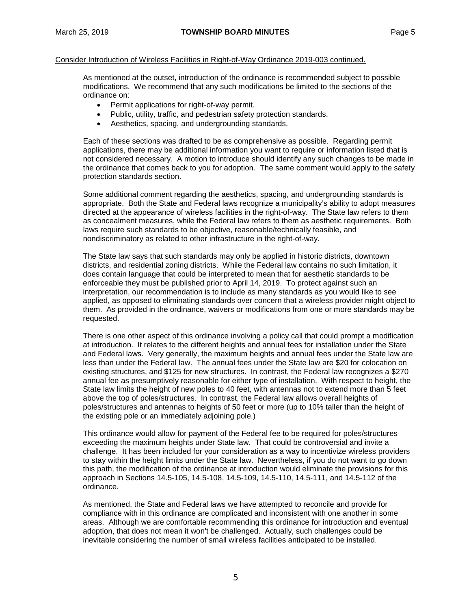As mentioned at the outset, introduction of the ordinance is recommended subject to possible modifications. We recommend that any such modifications be limited to the sections of the ordinance on:

- Permit applications for right-of-way permit.
- Public, utility, traffic, and pedestrian safety protection standards.
- Aesthetics, spacing, and undergrounding standards.

Each of these sections was drafted to be as comprehensive as possible. Regarding permit applications, there may be additional information you want to require or information listed that is not considered necessary. A motion to introduce should identify any such changes to be made in the ordinance that comes back to you for adoption. The same comment would apply to the safety protection standards section.

Some additional comment regarding the aesthetics, spacing, and undergrounding standards is appropriate. Both the State and Federal laws recognize a municipality's ability to adopt measures directed at the appearance of wireless facilities in the right-of-way. The State law refers to them as concealment measures, while the Federal law refers to them as aesthetic requirements. Both laws require such standards to be objective, reasonable/technically feasible, and nondiscriminatory as related to other infrastructure in the right-of-way.

The State law says that such standards may only be applied in historic districts, downtown districts, and residential zoning districts. While the Federal law contains no such limitation, it does contain language that could be interpreted to mean that for aesthetic standards to be enforceable they must be published prior to April 14, 2019. To protect against such an interpretation, our recommendation is to include as many standards as you would like to see applied, as opposed to eliminating standards over concern that a wireless provider might object to them. As provided in the ordinance, waivers or modifications from one or more standards may be requested.

There is one other aspect of this ordinance involving a policy call that could prompt a modification at introduction. It relates to the different heights and annual fees for installation under the State and Federal laws. Very generally, the maximum heights and annual fees under the State law are less than under the Federal law. The annual fees under the State law are \$20 for colocation on existing structures, and \$125 for new structures. In contrast, the Federal law recognizes a \$270 annual fee as presumptively reasonable for either type of installation. With respect to height, the State law limits the height of new poles to 40 feet, with antennas not to extend more than 5 feet above the top of poles/structures. In contrast, the Federal law allows overall heights of poles/structures and antennas to heights of 50 feet or more (up to 10% taller than the height of the existing pole or an immediately adjoining pole.)

This ordinance would allow for payment of the Federal fee to be required for poles/structures exceeding the maximum heights under State law. That could be controversial and invite a challenge. It has been included for your consideration as a way to incentivize wireless providers to stay within the height limits under the State law. Nevertheless, if you do not want to go down this path, the modification of the ordinance at introduction would eliminate the provisions for this approach in Sections 14.5-105, 14.5-108, 14.5-109, 14.5-110, 14.5-111, and 14.5-112 of the ordinance.

As mentioned, the State and Federal laws we have attempted to reconcile and provide for compliance with in this ordinance are complicated and inconsistent with one another in some areas. Although we are comfortable recommending this ordinance for introduction and eventual adoption, that does not mean it won't be challenged. Actually, such challenges could be inevitable considering the number of small wireless facilities anticipated to be installed.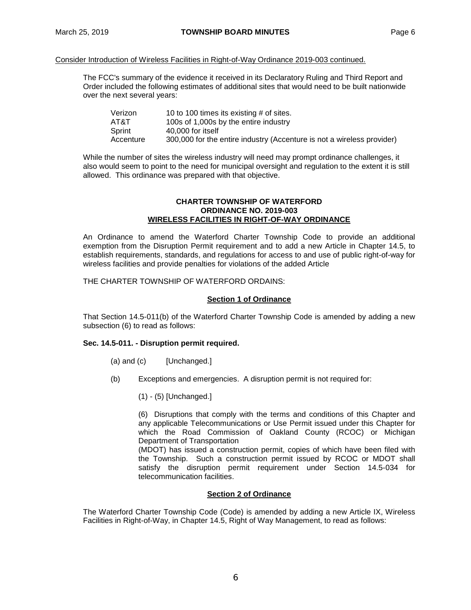The FCC's summary of the evidence it received in its Declaratory Ruling and Third Report and Order included the following estimates of additional sites that would need to be built nationwide over the next several years:

| Verizon   | 10 to 100 times its existing # of sites.                               |
|-----------|------------------------------------------------------------------------|
| AT&T      | 100s of 1,000s by the entire industry                                  |
| Sprint    | 40.000 for itself                                                      |
| Accenture | 300,000 for the entire industry (Accenture is not a wireless provider) |

While the number of sites the wireless industry will need may prompt ordinance challenges, it also would seem to point to the need for municipal oversight and regulation to the extent it is still allowed. This ordinance was prepared with that objective.

### **CHARTER TOWNSHIP OF WATERFORD ORDINANCE NO. 2019-003 WIRELESS FACILITIES IN RIGHT-OF-WAY ORDINANCE**

An Ordinance to amend the Waterford Charter Township Code to provide an additional exemption from the Disruption Permit requirement and to add a new Article in Chapter 14.5, to establish requirements, standards, and regulations for access to and use of public right-of-way for wireless facilities and provide penalties for violations of the added Article

THE CHARTER TOWNSHIP OF WATERFORD ORDAINS:

## **Section 1 of Ordinance**

That Section 14.5-011(b) of the Waterford Charter Township Code is amended by adding a new subsection (6) to read as follows:

# **Sec. 14.5-011. - Disruption permit required.**

- $(a)$  and  $(c)$  [Unchanged.]
- (b) Exceptions and emergencies. A disruption permit is not required for:
	- (1) (5) [Unchanged.]

(6) Disruptions that comply with the terms and conditions of this Chapter and any applicable Telecommunications or Use Permit issued under this Chapter for which the Road Commission of Oakland County (RCOC) or Michigan Department of Transportation

(MDOT) has issued a construction permit, copies of which have been filed with the Township. Such a construction permit issued by RCOC or MDOT shall satisfy the disruption permit requirement under Section 14.5-034 for telecommunication facilities.

# **Section 2 of Ordinance**

The Waterford Charter Township Code (Code) is amended by adding a new Article IX, Wireless Facilities in Right-of-Way, in Chapter 14.5, Right of Way Management, to read as follows: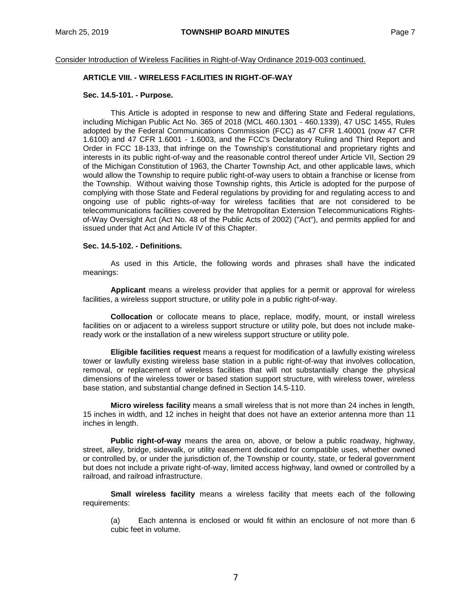### **ARTICLE VIII. - WIRELESS FACILITIES IN RIGHT-OF-WAY**

#### **Sec. 14.5-101. - Purpose.**

This Article is adopted in response to new and differing State and Federal regulations, including Michigan Public Act No. 365 of 2018 (MCL 460.1301 - 460.1339), 47 USC 1455, Rules adopted by the Federal Communications Commission (FCC) as 47 CFR 1.40001 (now 47 CFR 1.6100) and 47 CFR 1.6001 - 1.6003, and the FCC's Declaratory Ruling and Third Report and Order in FCC 18-133, that infringe on the Township's constitutional and proprietary rights and interests in its public right-of-way and the reasonable control thereof under Article VII, Section 29 of the Michigan Constitution of 1963, the Charter Township Act, and other applicable laws, which would allow the Township to require public right-of-way users to obtain a franchise or license from the Township. Without waiving those Township rights, this Article is adopted for the purpose of complying with those State and Federal regulations by providing for and regulating access to and ongoing use of public rights-of-way for wireless facilities that are not considered to be telecommunications facilities covered by the Metropolitan Extension Telecommunications Rightsof-Way Oversight Act (Act No. 48 of the Public Acts of 2002) ("Act"), and permits applied for and issued under that Act and Article IV of this Chapter.

#### **Sec. 14.5-102. - Definitions.**

As used in this Article, the following words and phrases shall have the indicated meanings:

**Applicant** means a wireless provider that applies for a permit or approval for wireless facilities, a wireless support structure, or utility pole in a public right-of-way.

**Collocation** or collocate means to place, replace, modify, mount, or install wireless facilities on or adjacent to a wireless support structure or utility pole, but does not include makeready work or the installation of a new wireless support structure or utility pole.

**Eligible facilities request** means a request for modification of a lawfully existing wireless tower or lawfully existing wireless base station in a public right-of-way that involves collocation, removal, or replacement of wireless facilities that will not substantially change the physical dimensions of the wireless tower or based station support structure, with wireless tower, wireless base station, and substantial change defined in Section 14.5-110.

**Micro wireless facility** means a small wireless that is not more than 24 inches in length, 15 inches in width, and 12 inches in height that does not have an exterior antenna more than 11 inches in length.

**Public right-of-way** means the area on, above, or below a public roadway, highway, street, alley, bridge, sidewalk, or utility easement dedicated for compatible uses, whether owned or controlled by, or under the jurisdiction of, the Township or county, state, or federal government but does not include a private right-of-way, limited access highway, land owned or controlled by a railroad, and railroad infrastructure.

**Small wireless facility** means a wireless facility that meets each of the following requirements:

(a) Each antenna is enclosed or would fit within an enclosure of not more than 6 cubic feet in volume.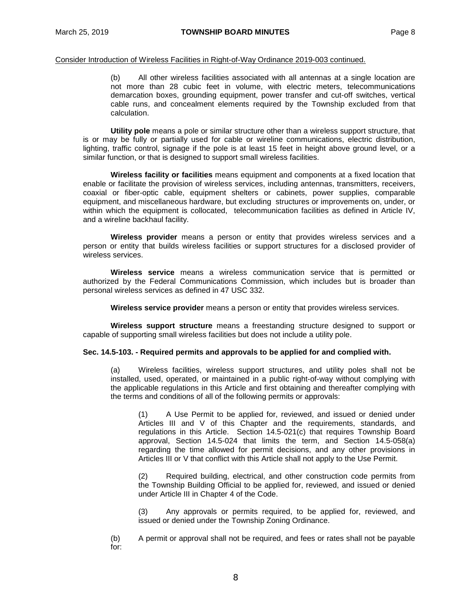(b) All other wireless facilities associated with all antennas at a single location are not more than 28 cubic feet in volume, with electric meters, telecommunications demarcation boxes, grounding equipment, power transfer and cut-off switches, vertical cable runs, and concealment elements required by the Township excluded from that calculation.

**Utility pole** means a pole or similar structure other than a wireless support structure, that is or may be fully or partially used for cable or wireline communications, electric distribution, lighting, traffic control, signage if the pole is at least 15 feet in height above ground level, or a similar function, or that is designed to support small wireless facilities.

**Wireless facility or facilities** means equipment and components at a fixed location that enable or facilitate the provision of wireless services, including antennas, transmitters, receivers, coaxial or fiber-optic cable, equipment shelters or cabinets, power supplies, comparable equipment, and miscellaneous hardware, but excluding structures or improvements on, under, or within which the equipment is collocated, telecommunication facilities as defined in Article IV, and a wireline backhaul facility.

**Wireless provider** means a person or entity that provides wireless services and a person or entity that builds wireless facilities or support structures for a disclosed provider of wireless services.

**Wireless service** means a wireless communication service that is permitted or authorized by the Federal Communications Commission, which includes but is broader than personal wireless services as defined in 47 USC 332.

**Wireless service provider** means a person or entity that provides wireless services.

**Wireless support structure** means a freestanding structure designed to support or capable of supporting small wireless facilities but does not include a utility pole.

#### **Sec. 14.5-103. - Required permits and approvals to be applied for and complied with.**

(a) Wireless facilities, wireless support structures, and utility poles shall not be installed, used, operated, or maintained in a public right-of-way without complying with the applicable regulations in this Article and first obtaining and thereafter complying with the terms and conditions of all of the following permits or approvals:

(1) A Use Permit to be applied for, reviewed, and issued or denied under Articles III and V of this Chapter and the requirements, standards, and regulations in this Article. Section 14.5-021(c) that requires Township Board approval, Section 14.5-024 that limits the term, and Section 14.5-058(a) regarding the time allowed for permit decisions, and any other provisions in Articles III or V that conflict with this Article shall not apply to the Use Permit.

(2) Required building, electrical, and other construction code permits from the Township Building Official to be applied for, reviewed, and issued or denied under Article III in Chapter 4 of the Code.

(3) Any approvals or permits required, to be applied for, reviewed, and issued or denied under the Township Zoning Ordinance.

(b) A permit or approval shall not be required, and fees or rates shall not be payable for: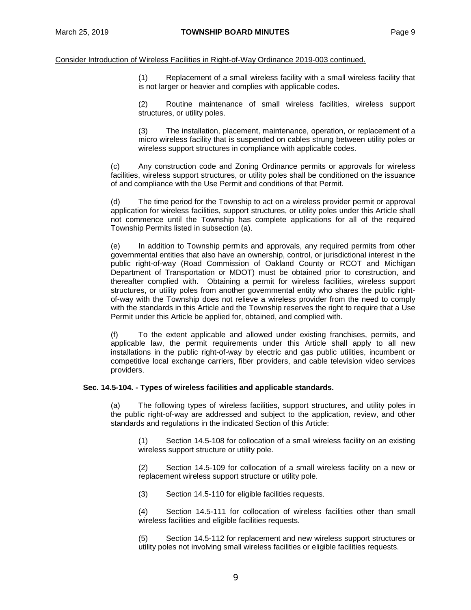(1) Replacement of a small wireless facility with a small wireless facility that is not larger or heavier and complies with applicable codes.

(2) Routine maintenance of small wireless facilities, wireless support structures, or utility poles.

(3) The installation, placement, maintenance, operation, or replacement of a micro wireless facility that is suspended on cables strung between utility poles or wireless support structures in compliance with applicable codes.

(c) Any construction code and Zoning Ordinance permits or approvals for wireless facilities, wireless support structures, or utility poles shall be conditioned on the issuance of and compliance with the Use Permit and conditions of that Permit.

(d) The time period for the Township to act on a wireless provider permit or approval application for wireless facilities, support structures, or utility poles under this Article shall not commence until the Township has complete applications for all of the required Township Permits listed in subsection (a).

(e) In addition to Township permits and approvals, any required permits from other governmental entities that also have an ownership, control, or jurisdictional interest in the public right-of-way (Road Commission of Oakland County or RCOT and Michigan Department of Transportation or MDOT) must be obtained prior to construction, and thereafter complied with. Obtaining a permit for wireless facilities, wireless support structures, or utility poles from another governmental entity who shares the public rightof-way with the Township does not relieve a wireless provider from the need to comply with the standards in this Article and the Township reserves the right to require that a Use Permit under this Article be applied for, obtained, and complied with.

(f) To the extent applicable and allowed under existing franchises, permits, and applicable law, the permit requirements under this Article shall apply to all new installations in the public right-of-way by electric and gas public utilities, incumbent or competitive local exchange carriers, fiber providers, and cable television video services providers.

## **Sec. 14.5-104. - Types of wireless facilities and applicable standards.**

(a) The following types of wireless facilities, support structures, and utility poles in the public right-of-way are addressed and subject to the application, review, and other standards and regulations in the indicated Section of this Article:

(1) Section 14.5-108 for collocation of a small wireless facility on an existing wireless support structure or utility pole.

(2) Section 14.5-109 for collocation of a small wireless facility on a new or replacement wireless support structure or utility pole.

(3) Section 14.5-110 for eligible facilities requests.

(4) Section 14.5-111 for collocation of wireless facilities other than small wireless facilities and eligible facilities requests.

(5) Section 14.5-112 for replacement and new wireless support structures or utility poles not involving small wireless facilities or eligible facilities requests.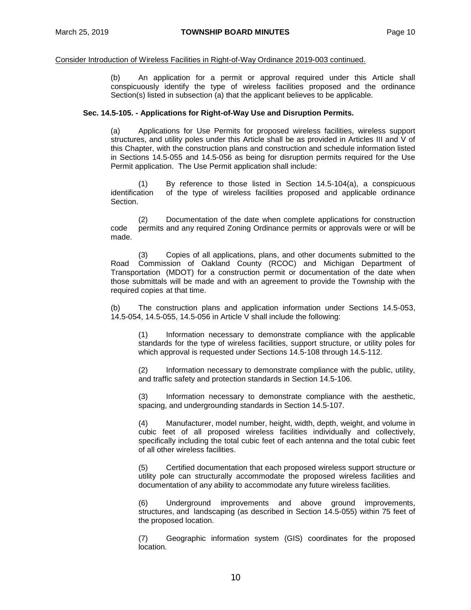(b) An application for a permit or approval required under this Article shall conspicuously identify the type of wireless facilities proposed and the ordinance Section(s) listed in subsection (a) that the applicant believes to be applicable.

## **Sec. 14.5-105. - Applications for Right-of-Way Use and Disruption Permits.**

(a) Applications for Use Permits for proposed wireless facilities, wireless support structures, and utility poles under this Article shall be as provided in Articles III and V of this Chapter, with the construction plans and construction and schedule information listed in Sections 14.5-055 and 14.5-056 as being for disruption permits required for the Use Permit application. The Use Permit application shall include:

 $(1)$  By reference to those listed in Section 14.5-104(a), a conspicuous identification of the type of wireless facilities proposed and applicable ordinance of the type of wireless facilities proposed and applicable ordinance Section.

(2) Documentation of the date when complete applications for construction code permits and any required Zoning Ordinance permits or approvals were or will be made.

(3) Copies of all applications, plans, and other documents submitted to the Road Commission of Oakland County (RCOC) and Michigan Department of Transportation (MDOT) for a construction permit or documentation of the date when those submittals will be made and with an agreement to provide the Township with the required copies at that time.

(b) The construction plans and application information under Sections 14.5-053, 14.5-054, 14.5-055, 14.5-056 in Article V shall include the following:

(1) Information necessary to demonstrate compliance with the applicable standards for the type of wireless facilities, support structure, or utility poles for which approval is requested under Sections 14.5-108 through 14.5-112.

(2) Information necessary to demonstrate compliance with the public, utility, and traffic safety and protection standards in Section 14.5-106.

(3) Information necessary to demonstrate compliance with the aesthetic, spacing, and undergrounding standards in Section 14.5-107.

(4) Manufacturer, model number, height, width, depth, weight, and volume in cubic feet of all proposed wireless facilities individually and collectively, specifically including the total cubic feet of each antenna and the total cubic feet of all other wireless facilities.

(5) Certified documentation that each proposed wireless support structure or utility pole can structurally accommodate the proposed wireless facilities and documentation of any ability to accommodate any future wireless facilities.

(6) Underground improvements and above ground improvements, structures, and landscaping (as described in Section 14.5-055) within 75 feet of the proposed location.

(7) Geographic information system (GIS) coordinates for the proposed location.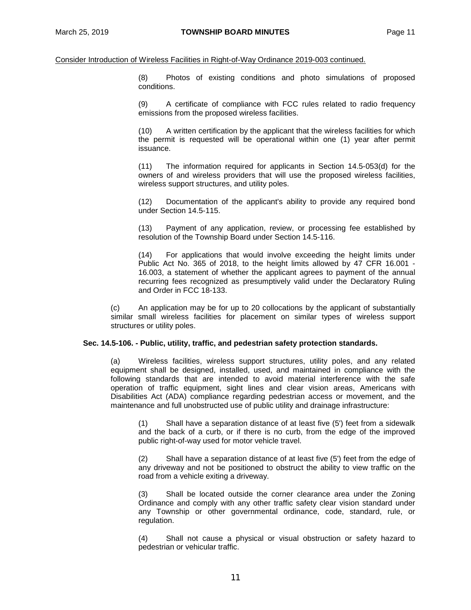(8) Photos of existing conditions and photo simulations of proposed conditions.

(9) A certificate of compliance with FCC rules related to radio frequency emissions from the proposed wireless facilities.

(10) A written certification by the applicant that the wireless facilities for which the permit is requested will be operational within one (1) year after permit issuance.

(11) The information required for applicants in Section 14.5-053(d) for the owners of and wireless providers that will use the proposed wireless facilities, wireless support structures, and utility poles.

(12) Documentation of the applicant's ability to provide any required bond under Section 14.5-115.

(13) Payment of any application, review, or processing fee established by resolution of the Township Board under Section 14.5-116.

(14) For applications that would involve exceeding the height limits under Public Act No. 365 of 2018, to the height limits allowed by 47 CFR 16.001 - 16.003, a statement of whether the applicant agrees to payment of the annual recurring fees recognized as presumptively valid under the Declaratory Ruling and Order in FCC 18-133.

(c) An application may be for up to 20 collocations by the applicant of substantially similar small wireless facilities for placement on similar types of wireless support structures or utility poles.

#### **Sec. 14.5-106. - Public, utility, traffic, and pedestrian safety protection standards.**

(a) Wireless facilities, wireless support structures, utility poles, and any related equipment shall be designed, installed, used, and maintained in compliance with the following standards that are intended to avoid material interference with the safe operation of traffic equipment, sight lines and clear vision areas, Americans with Disabilities Act (ADA) compliance regarding pedestrian access or movement, and the maintenance and full unobstructed use of public utility and drainage infrastructure:

(1) Shall have a separation distance of at least five (5') feet from a sidewalk and the back of a curb, or if there is no curb, from the edge of the improved public right-of-way used for motor vehicle travel.

(2) Shall have a separation distance of at least five (5') feet from the edge of any driveway and not be positioned to obstruct the ability to view traffic on the road from a vehicle exiting a driveway.

(3) Shall be located outside the corner clearance area under the Zoning Ordinance and comply with any other traffic safety clear vision standard under any Township or other governmental ordinance, code, standard, rule, or regulation.

(4) Shall not cause a physical or visual obstruction or safety hazard to pedestrian or vehicular traffic.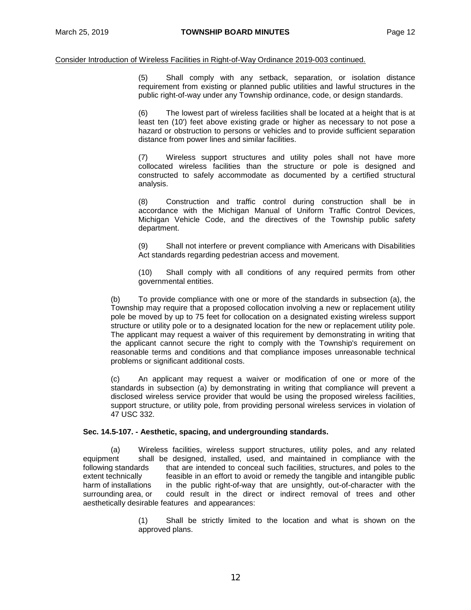(5) Shall comply with any setback, separation, or isolation distance requirement from existing or planned public utilities and lawful structures in the public right-of-way under any Township ordinance, code, or design standards.

(6) The lowest part of wireless facilities shall be located at a height that is at least ten (10') feet above existing grade or higher as necessary to not pose a hazard or obstruction to persons or vehicles and to provide sufficient separation distance from power lines and similar facilities.

(7) Wireless support structures and utility poles shall not have more collocated wireless facilities than the structure or pole is designed and constructed to safely accommodate as documented by a certified structural analysis.

(8) Construction and traffic control during construction shall be in accordance with the Michigan Manual of Uniform Traffic Control Devices, Michigan Vehicle Code, and the directives of the Township public safety department.

(9) Shall not interfere or prevent compliance with Americans with Disabilities Act standards regarding pedestrian access and movement.

(10) Shall comply with all conditions of any required permits from other governmental entities.

(b) To provide compliance with one or more of the standards in subsection (a), the Township may require that a proposed collocation involving a new or replacement utility pole be moved by up to 75 feet for collocation on a designated existing wireless support structure or utility pole or to a designated location for the new or replacement utility pole. The applicant may request a waiver of this requirement by demonstrating in writing that the applicant cannot secure the right to comply with the Township's requirement on reasonable terms and conditions and that compliance imposes unreasonable technical problems or significant additional costs.

(c) An applicant may request a waiver or modification of one or more of the standards in subsection (a) by demonstrating in writing that compliance will prevent a disclosed wireless service provider that would be using the proposed wireless facilities, support structure, or utility pole, from providing personal wireless services in violation of 47 USC 332.

## **Sec. 14.5-107. - Aesthetic, spacing, and undergrounding standards.**

(a) Wireless facilities, wireless support structures, utility poles, and any related equipment shall be designed, installed, used, and maintained in compliance with the shall be designed, installed, used, and maintained in compliance with the following standards that are intended to conceal such facilities, structures, and poles to the extent technically feasible in an effort to avoid or remedy the tangible and intangible public feasible in an effort to avoid or remedy the tangible and intangible public harm of installations in the public right-of-way that are unsightly, out-of-character with the surrounding area, or could result in the direct or indirect removal of trees and other aesthetically desirable features and appearances:

> (1) Shall be strictly limited to the location and what is shown on the approved plans.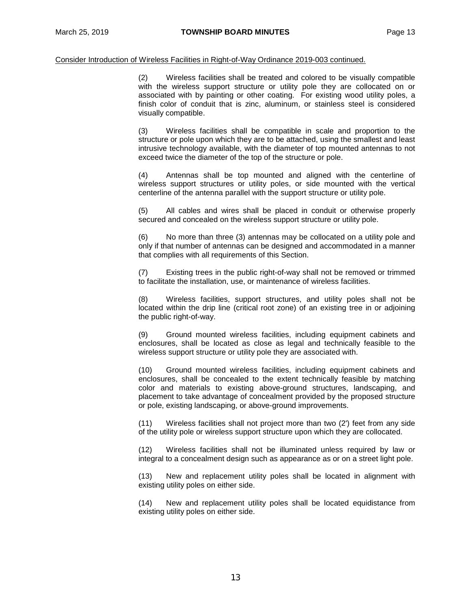(2) Wireless facilities shall be treated and colored to be visually compatible with the wireless support structure or utility pole they are collocated on or associated with by painting or other coating. For existing wood utility poles, a finish color of conduit that is zinc, aluminum, or stainless steel is considered visually compatible.

(3) Wireless facilities shall be compatible in scale and proportion to the structure or pole upon which they are to be attached, using the smallest and least intrusive technology available, with the diameter of top mounted antennas to not exceed twice the diameter of the top of the structure or pole.

(4) Antennas shall be top mounted and aligned with the centerline of wireless support structures or utility poles, or side mounted with the vertical centerline of the antenna parallel with the support structure or utility pole.

(5) All cables and wires shall be placed in conduit or otherwise properly secured and concealed on the wireless support structure or utility pole.

(6) No more than three (3) antennas may be collocated on a utility pole and only if that number of antennas can be designed and accommodated in a manner that complies with all requirements of this Section.

(7) Existing trees in the public right-of-way shall not be removed or trimmed to facilitate the installation, use, or maintenance of wireless facilities.

(8) Wireless facilities, support structures, and utility poles shall not be located within the drip line (critical root zone) of an existing tree in or adjoining the public right-of-way.

(9) Ground mounted wireless facilities, including equipment cabinets and enclosures, shall be located as close as legal and technically feasible to the wireless support structure or utility pole they are associated with.

(10) Ground mounted wireless facilities, including equipment cabinets and enclosures, shall be concealed to the extent technically feasible by matching color and materials to existing above-ground structures, landscaping, and placement to take advantage of concealment provided by the proposed structure or pole, existing landscaping, or above-ground improvements.

(11) Wireless facilities shall not project more than two (2') feet from any side of the utility pole or wireless support structure upon which they are collocated.

(12) Wireless facilities shall not be illuminated unless required by law or integral to a concealment design such as appearance as or on a street light pole.

(13) New and replacement utility poles shall be located in alignment with existing utility poles on either side.

(14) New and replacement utility poles shall be located equidistance from existing utility poles on either side.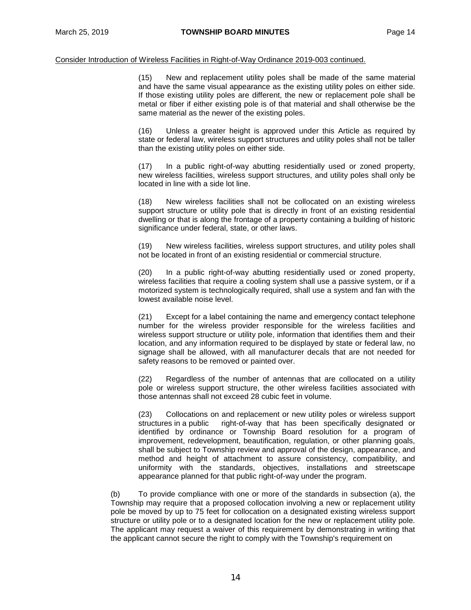(15) New and replacement utility poles shall be made of the same material and have the same visual appearance as the existing utility poles on either side. If those existing utility poles are different, the new or replacement pole shall be metal or fiber if either existing pole is of that material and shall otherwise be the same material as the newer of the existing poles.

(16) Unless a greater height is approved under this Article as required by state or federal law, wireless support structures and utility poles shall not be taller than the existing utility poles on either side.

(17) In a public right-of-way abutting residentially used or zoned property, new wireless facilities, wireless support structures, and utility poles shall only be located in line with a side lot line.

(18) New wireless facilities shall not be collocated on an existing wireless support structure or utility pole that is directly in front of an existing residential dwelling or that is along the frontage of a property containing a building of historic significance under federal, state, or other laws.

(19) New wireless facilities, wireless support structures, and utility poles shall not be located in front of an existing residential or commercial structure.

(20) In a public right-of-way abutting residentially used or zoned property, wireless facilities that require a cooling system shall use a passive system, or if a motorized system is technologically required, shall use a system and fan with the lowest available noise level.

(21) Except for a label containing the name and emergency contact telephone number for the wireless provider responsible for the wireless facilities and wireless support structure or utility pole, information that identifies them and their location, and any information required to be displayed by state or federal law, no signage shall be allowed, with all manufacturer decals that are not needed for safety reasons to be removed or painted over.

(22) Regardless of the number of antennas that are collocated on a utility pole or wireless support structure, the other wireless facilities associated with those antennas shall not exceed 28 cubic feet in volume.

(23) Collocations on and replacement or new utility poles or wireless support right-of-way that has been specifically designated or identified by ordinance or Township Board resolution for a program of improvement, redevelopment, beautification, regulation, or other planning goals, shall be subject to Township review and approval of the design, appearance, and method and height of attachment to assure consistency, compatibility, and uniformity with the standards, objectives, installations and streetscape appearance planned for that public right-of-way under the program.

(b) To provide compliance with one or more of the standards in subsection (a), the Township may require that a proposed collocation involving a new or replacement utility pole be moved by up to 75 feet for collocation on a designated existing wireless support structure or utility pole or to a designated location for the new or replacement utility pole. The applicant may request a waiver of this requirement by demonstrating in writing that the applicant cannot secure the right to comply with the Township's requirement on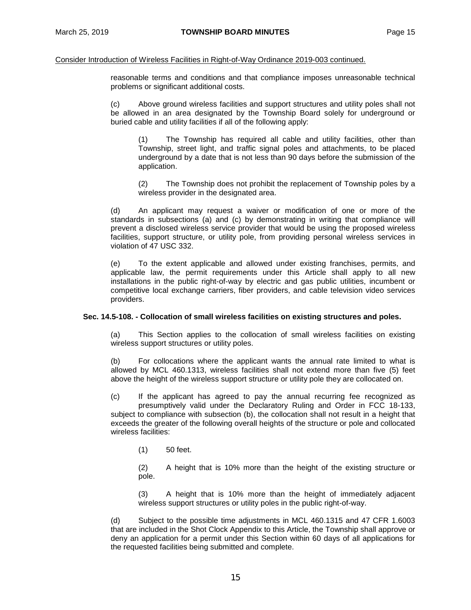reasonable terms and conditions and that compliance imposes unreasonable technical problems or significant additional costs.

(c) Above ground wireless facilities and support structures and utility poles shall not be allowed in an area designated by the Township Board solely for underground or buried cable and utility facilities if all of the following apply:

(1) The Township has required all cable and utility facilities, other than Township, street light, and traffic signal poles and attachments, to be placed underground by a date that is not less than 90 days before the submission of the application.

(2) The Township does not prohibit the replacement of Township poles by a wireless provider in the designated area.

(d) An applicant may request a waiver or modification of one or more of the standards in subsections (a) and (c) by demonstrating in writing that compliance will prevent a disclosed wireless service provider that would be using the proposed wireless facilities, support structure, or utility pole, from providing personal wireless services in violation of 47 USC 332.

(e) To the extent applicable and allowed under existing franchises, permits, and applicable law, the permit requirements under this Article shall apply to all new installations in the public right-of-way by electric and gas public utilities, incumbent or competitive local exchange carriers, fiber providers, and cable television video services providers.

## **Sec. 14.5-108. - Collocation of small wireless facilities on existing structures and poles.**

(a) This Section applies to the collocation of small wireless facilities on existing wireless support structures or utility poles.

(b) For collocations where the applicant wants the annual rate limited to what is allowed by MCL 460.1313, wireless facilities shall not extend more than five (5) feet above the height of the wireless support structure or utility pole they are collocated on.

(c) If the applicant has agreed to pay the annual recurring fee recognized as presumptively valid under the Declaratory Ruling and Order in FCC 18-133, subject to compliance with subsection (b), the collocation shall not result in a height that exceeds the greater of the following overall heights of the structure or pole and collocated wireless facilities:

(1) 50 feet.

(2) A height that is 10% more than the height of the existing structure or pole.

(3) A height that is 10% more than the height of immediately adjacent wireless support structures or utility poles in the public right-of-way.

(d) Subject to the possible time adjustments in MCL 460.1315 and 47 CFR 1.6003 that are included in the Shot Clock Appendix to this Article, the Township shall approve or deny an application for a permit under this Section within 60 days of all applications for the requested facilities being submitted and complete.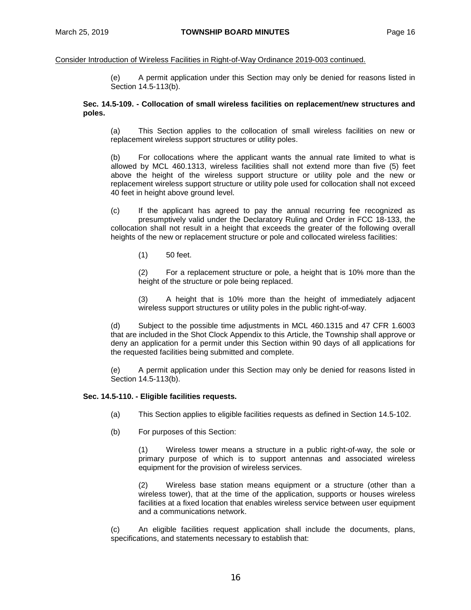(e) A permit application under this Section may only be denied for reasons listed in Section 14.5-113(b).

### **Sec. 14.5-109. - Collocation of small wireless facilities on replacement/new structures and poles.**

(a) This Section applies to the collocation of small wireless facilities on new or replacement wireless support structures or utility poles.

(b) For collocations where the applicant wants the annual rate limited to what is allowed by MCL 460.1313, wireless facilities shall not extend more than five (5) feet above the height of the wireless support structure or utility pole and the new or replacement wireless support structure or utility pole used for collocation shall not exceed 40 feet in height above ground level.

(c) If the applicant has agreed to pay the annual recurring fee recognized as presumptively valid under the Declaratory Ruling and Order in FCC 18-133, the collocation shall not result in a height that exceeds the greater of the following overall heights of the new or replacement structure or pole and collocated wireless facilities:

(1) 50 feet.

(2) For a replacement structure or pole, a height that is 10% more than the height of the structure or pole being replaced.

(3) A height that is 10% more than the height of immediately adjacent wireless support structures or utility poles in the public right-of-way.

(d) Subject to the possible time adjustments in MCL 460.1315 and 47 CFR 1.6003 that are included in the Shot Clock Appendix to this Article, the Township shall approve or deny an application for a permit under this Section within 90 days of all applications for the requested facilities being submitted and complete.

(e) A permit application under this Section may only be denied for reasons listed in Section 14.5-113(b).

## **Sec. 14.5-110. - Eligible facilities requests.**

- (a) This Section applies to eligible facilities requests as defined in Section 14.5-102.
- (b) For purposes of this Section:

(1) Wireless tower means a structure in a public right-of-way, the sole or primary purpose of which is to support antennas and associated wireless equipment for the provision of wireless services.

(2) Wireless base station means equipment or a structure (other than a wireless tower), that at the time of the application, supports or houses wireless facilities at a fixed location that enables wireless service between user equipment and a communications network.

(c) An eligible facilities request application shall include the documents, plans, specifications, and statements necessary to establish that: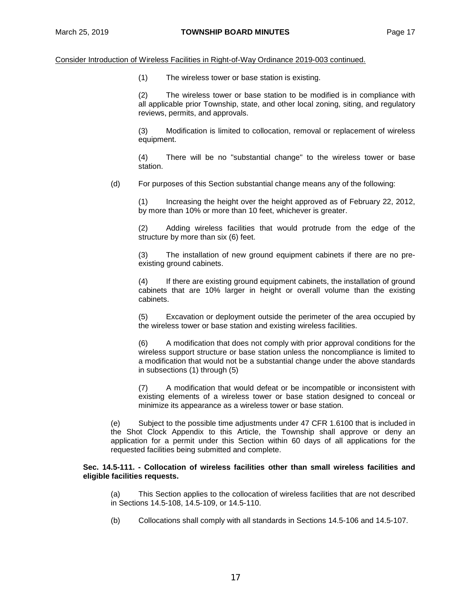(1) The wireless tower or base station is existing.

(2) The wireless tower or base station to be modified is in compliance with all applicable prior Township, state, and other local zoning, siting, and regulatory reviews, permits, and approvals.

(3) Modification is limited to collocation, removal or replacement of wireless equipment.

(4) There will be no "substantial change" to the wireless tower or base station.

(d) For purposes of this Section substantial change means any of the following:

(1) Increasing the height over the height approved as of February 22, 2012, by more than 10% or more than 10 feet, whichever is greater.

(2) Adding wireless facilities that would protrude from the edge of the structure by more than six (6) feet.

(3) The installation of new ground equipment cabinets if there are no preexisting ground cabinets.

(4) If there are existing ground equipment cabinets, the installation of ground cabinets that are 10% larger in height or overall volume than the existing cabinets.

(5) Excavation or deployment outside the perimeter of the area occupied by the wireless tower or base station and existing wireless facilities.

(6) A modification that does not comply with prior approval conditions for the wireless support structure or base station unless the noncompliance is limited to a modification that would not be a substantial change under the above standards in subsections (1) through (5)

(7) A modification that would defeat or be incompatible or inconsistent with existing elements of a wireless tower or base station designed to conceal or minimize its appearance as a wireless tower or base station.

(e) Subject to the possible time adjustments under 47 CFR 1.6100 that is included in the Shot Clock Appendix to this Article, the Township shall approve or deny an application for a permit under this Section within 60 days of all applications for the requested facilities being submitted and complete.

#### **Sec. 14.5-111. - Collocation of wireless facilities other than small wireless facilities and eligible facilities requests.**

(a) This Section applies to the collocation of wireless facilities that are not described in Sections 14.5-108, 14.5-109, or 14.5-110.

(b) Collocations shall comply with all standards in Sections 14.5-106 and 14.5-107.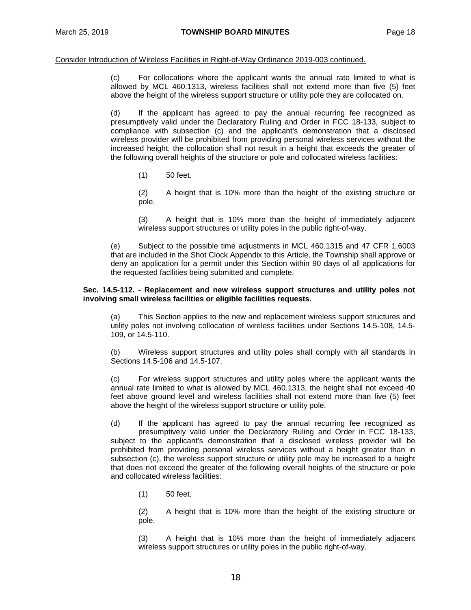(c) For collocations where the applicant wants the annual rate limited to what is allowed by MCL 460.1313, wireless facilities shall not extend more than five (5) feet above the height of the wireless support structure or utility pole they are collocated on.

(d) If the applicant has agreed to pay the annual recurring fee recognized as presumptively valid under the Declaratory Ruling and Order in FCC 18-133, subject to compliance with subsection (c) and the applicant's demonstration that a disclosed wireless provider will be prohibited from providing personal wireless services without the increased height, the collocation shall not result in a height that exceeds the greater of the following overall heights of the structure or pole and collocated wireless facilities:

(1) 50 feet.

(2) A height that is 10% more than the height of the existing structure or pole.

(3) A height that is 10% more than the height of immediately adjacent wireless support structures or utility poles in the public right-of-way.

(e) Subject to the possible time adjustments in MCL 460.1315 and 47 CFR 1.6003 that are included in the Shot Clock Appendix to this Article, the Township shall approve or deny an application for a permit under this Section within 90 days of all applications for the requested facilities being submitted and complete.

### **Sec. 14.5-112. - Replacement and new wireless support structures and utility poles not involving small wireless facilities or eligible facilities requests.**

(a) This Section applies to the new and replacement wireless support structures and utility poles not involving collocation of wireless facilities under Sections 14.5-108, 14.5- 109, or 14.5-110.

(b) Wireless support structures and utility poles shall comply with all standards in Sections 14.5-106 and 14.5-107.

(c) For wireless support structures and utility poles where the applicant wants the annual rate limited to what is allowed by MCL 460.1313, the height shall not exceed 40 feet above ground level and wireless facilities shall not extend more than five (5) feet above the height of the wireless support structure or utility pole.

(d) If the applicant has agreed to pay the annual recurring fee recognized as presumptively valid under the Declaratory Ruling and Order in FCC 18-133, subject to the applicant's demonstration that a disclosed wireless provider will be prohibited from providing personal wireless services without a height greater than in subsection (c), the wireless support structure or utility pole may be increased to a height that does not exceed the greater of the following overall heights of the structure or pole and collocated wireless facilities:

(1) 50 feet.

(2) A height that is 10% more than the height of the existing structure or pole.

(3) A height that is 10% more than the height of immediately adjacent wireless support structures or utility poles in the public right-of-way.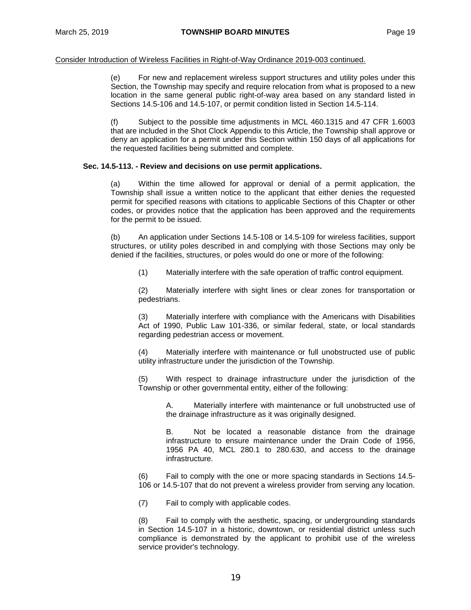(e) For new and replacement wireless support structures and utility poles under this Section, the Township may specify and require relocation from what is proposed to a new location in the same general public right-of-way area based on any standard listed in Sections 14.5-106 and 14.5-107, or permit condition listed in Section 14.5-114.

(f) Subject to the possible time adjustments in MCL 460.1315 and 47 CFR 1.6003 that are included in the Shot Clock Appendix to this Article, the Township shall approve or deny an application for a permit under this Section within 150 days of all applications for the requested facilities being submitted and complete.

## **Sec. 14.5-113. - Review and decisions on use permit applications.**

(a) Within the time allowed for approval or denial of a permit application, the Township shall issue a written notice to the applicant that either denies the requested permit for specified reasons with citations to applicable Sections of this Chapter or other codes, or provides notice that the application has been approved and the requirements for the permit to be issued.

(b) An application under Sections 14.5-108 or 14.5-109 for wireless facilities, support structures, or utility poles described in and complying with those Sections may only be denied if the facilities, structures, or poles would do one or more of the following:

(1) Materially interfere with the safe operation of traffic control equipment.

(2) Materially interfere with sight lines or clear zones for transportation or pedestrians.

(3) Materially interfere with compliance with the Americans with Disabilities Act of 1990, Public Law 101-336, or similar federal, state, or local standards regarding pedestrian access or movement.

(4) Materially interfere with maintenance or full unobstructed use of public utility infrastructure under the jurisdiction of the Township.

(5) With respect to drainage infrastructure under the jurisdiction of the Township or other governmental entity, either of the following:

A. Materially interfere with maintenance or full unobstructed use of the drainage infrastructure as it was originally designed.

B. Not be located a reasonable distance from the drainage infrastructure to ensure maintenance under the Drain Code of 1956, 1956 PA 40, MCL 280.1 to 280.630, and access to the drainage infrastructure.

(6) Fail to comply with the one or more spacing standards in Sections 14.5- 106 or 14.5-107 that do not prevent a wireless provider from serving any location.

(7) Fail to comply with applicable codes.

(8) Fail to comply with the aesthetic, spacing, or undergrounding standards in Section 14.5-107 in a historic, downtown, or residential district unless such compliance is demonstrated by the applicant to prohibit use of the wireless service provider's technology.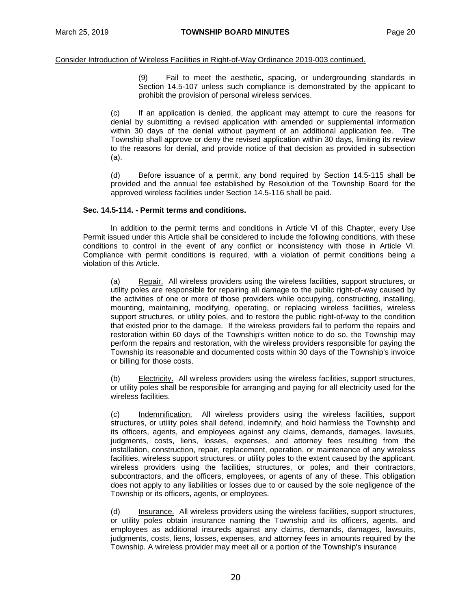(9) Fail to meet the aesthetic, spacing, or undergrounding standards in Section 14.5-107 unless such compliance is demonstrated by the applicant to prohibit the provision of personal wireless services.

(c) If an application is denied, the applicant may attempt to cure the reasons for denial by submitting a revised application with amended or supplemental information within 30 days of the denial without payment of an additional application fee. The Township shall approve or deny the revised application within 30 days, limiting its review to the reasons for denial, and provide notice of that decision as provided in subsection (a).

(d) Before issuance of a permit, any bond required by Section 14.5-115 shall be provided and the annual fee established by Resolution of the Township Board for the approved wireless facilities under Section 14.5-116 shall be paid.

## **Sec. 14.5-114. - Permit terms and conditions.**

In addition to the permit terms and conditions in Article VI of this Chapter, every Use Permit issued under this Article shall be considered to include the following conditions, with these conditions to control in the event of any conflict or inconsistency with those in Article VI. Compliance with permit conditions is required, with a violation of permit conditions being a violation of this Article.

(a) Repair. All wireless providers using the wireless facilities, support structures, or utility poles are responsible for repairing all damage to the public right-of-way caused by the activities of one or more of those providers while occupying, constructing, installing, mounting, maintaining, modifying, operating, or replacing wireless facilities, wireless support structures, or utility poles, and to restore the public right-of-way to the condition that existed prior to the damage. If the wireless providers fail to perform the repairs and restoration within 60 days of the Township's written notice to do so, the Township may perform the repairs and restoration, with the wireless providers responsible for paying the Township its reasonable and documented costs within 30 days of the Township's invoice or billing for those costs.

(b) Electricity. All wireless providers using the wireless facilities, support structures, or utility poles shall be responsible for arranging and paying for all electricity used for the wireless facilities.

(c) Indemnification. All wireless providers using the wireless facilities, support structures, or utility poles shall defend, indemnify, and hold harmless the Township and its officers, agents, and employees against any claims, demands, damages, lawsuits, judgments, costs, liens, losses, expenses, and attorney fees resulting from the installation, construction, repair, replacement, operation, or maintenance of any wireless facilities, wireless support structures, or utility poles to the extent caused by the applicant, wireless providers using the facilities, structures, or poles, and their contractors, subcontractors, and the officers, employees, or agents of any of these. This obligation does not apply to any liabilities or losses due to or caused by the sole negligence of the Township or its officers, agents, or employees.

(d) Insurance. All wireless providers using the wireless facilities, support structures, or utility poles obtain insurance naming the Township and its officers, agents, and employees as additional insureds against any claims, demands, damages, lawsuits, judgments, costs, liens, losses, expenses, and attorney fees in amounts required by the Township. A wireless provider may meet all or a portion of the Township's insurance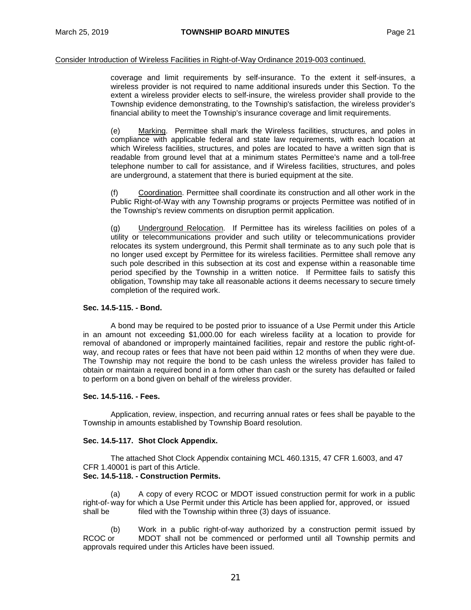coverage and limit requirements by self-insurance. To the extent it self-insures, a wireless provider is not required to name additional insureds under this Section. To the extent a wireless provider elects to self-insure, the wireless provider shall provide to the Township evidence demonstrating, to the Township's satisfaction, the wireless provider's financial ability to meet the Township's insurance coverage and limit requirements.

(e) Marking. Permittee shall mark the Wireless facilities, structures, and poles in compliance with applicable federal and state law requirements, with each location at which Wireless facilities, structures, and poles are located to have a written sign that is readable from ground level that at a minimum states Permittee's name and a toll-free telephone number to call for assistance, and if Wireless facilities, structures, and poles are underground, a statement that there is buried equipment at the site.

Coordination. Permittee shall coordinate its construction and all other work in the Public Right-of-Way with any Township programs or projects Permittee was notified of in the Township's review comments on disruption permit application.

(g) Underground Relocation. If Permittee has its wireless facilities on poles of a utility or telecommunications provider and such utility or telecommunications provider relocates its system underground, this Permit shall terminate as to any such pole that is no longer used except by Permittee for its wireless facilities. Permittee shall remove any such pole described in this subsection at its cost and expense within a reasonable time period specified by the Township in a written notice. If Permittee fails to satisfy this obligation, Township may take all reasonable actions it deems necessary to secure timely completion of the required work.

### **Sec. 14.5-115. - Bond.**

A bond may be required to be posted prior to issuance of a Use Permit under this Article in an amount not exceeding \$1,000.00 for each wireless facility at a location to provide for removal of abandoned or improperly maintained facilities, repair and restore the public right-ofway, and recoup rates or fees that have not been paid within 12 months of when they were due. The Township may not require the bond to be cash unless the wireless provider has failed to obtain or maintain a required bond in a form other than cash or the surety has defaulted or failed to perform on a bond given on behalf of the wireless provider.

## **Sec. 14.5-116. - Fees.**

Application, review, inspection, and recurring annual rates or fees shall be payable to the Township in amounts established by Township Board resolution.

## **Sec. 14.5-117. Shot Clock Appendix.**

The attached Shot Clock Appendix containing MCL 460.1315, 47 CFR 1.6003, and 47 CFR 1.40001 is part of this Article. **Sec. 14.5-118. - Construction Permits.**

(a) A copy of every RCOC or MDOT issued construction permit for work in a public right-of- way for which a Use Permit under this Article has been applied for, approved, or issued shall be filed with the Township within three (3) days of issuance.

(b) Work in a public right-of-way authorized by a construction permit issued by<br>RCOC or MDOT shall not be commenced or performed until all Township permits and MDOT shall not be commenced or performed until all Township permits and approvals required under this Articles have been issued.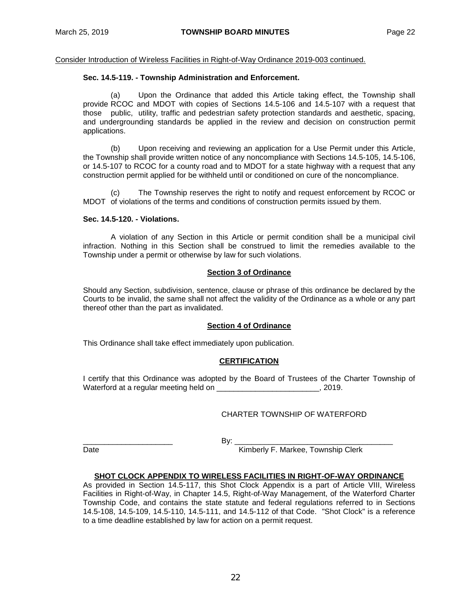## **Sec. 14.5-119. - Township Administration and Enforcement.**

(a) Upon the Ordinance that added this Article taking effect, the Township shall provide RCOC and MDOT with copies of Sections 14.5-106 and 14.5-107 with a request that those public, utility, traffic and pedestrian safety protection standards and aesthetic, spacing, and undergrounding standards be applied in the review and decision on construction permit applications.

(b) Upon receiving and reviewing an application for a Use Permit under this Article, the Township shall provide written notice of any noncompliance with Sections 14.5-105, 14.5-106, or 14.5-107 to RCOC for a county road and to MDOT for a state highway with a request that any construction permit applied for be withheld until or conditioned on cure of the noncompliance.

The Township reserves the right to notify and request enforcement by RCOC or MDOT of violations of the terms and conditions of construction permits issued by them.

## **Sec. 14.5-120. - Violations.**

A violation of any Section in this Article or permit condition shall be a municipal civil infraction. Nothing in this Section shall be construed to limit the remedies available to the Township under a permit or otherwise by law for such violations.

## **Section 3 of Ordinance**

Should any Section, subdivision, sentence, clause or phrase of this ordinance be declared by the Courts to be invalid, the same shall not affect the validity of the Ordinance as a whole or any part thereof other than the part as invalidated.

## **Section 4 of Ordinance**

This Ordinance shall take effect immediately upon publication.

# **CERTIFICATION**

I certify that this Ordinance was adopted by the Board of Trustees of the Charter Township of Waterford at a regular meeting held on \_\_\_\_\_\_\_\_\_\_\_\_\_\_\_\_\_\_\_\_\_\_\_\_\_\_\_\_, 2019.

# CHARTER TOWNSHIP OF WATERFORD

\_\_\_\_\_\_\_\_\_\_\_\_\_\_\_\_\_\_\_\_\_ By: \_\_\_\_\_\_\_\_\_\_\_\_\_\_\_\_\_\_\_\_\_\_\_\_\_\_\_\_\_\_\_\_\_\_\_\_\_

Date **Date Contract Contract Contract Contract Contract Contract Contract Contract Contract Contract Contract Contract Contract Contract Contract Contract Contract Contract Contract Contract Contract Contract Contract Co** 

## **SHOT CLOCK APPENDIX TO WIRELESS FACILITIES IN RIGHT-OF-WAY ORDINANCE**

As provided in Section 14.5-117, this Shot Clock Appendix is a part of Article VIII, Wireless Facilities in Right-of-Way, in Chapter 14.5, Right-of-Way Management, of the Waterford Charter Township Code, and contains the state statute and federal regulations referred to in Sections 14.5-108, 14.5-109, 14.5-110, 14.5-111, and 14.5-112 of that Code. "Shot Clock" is a reference to a time deadline established by law for action on a permit request.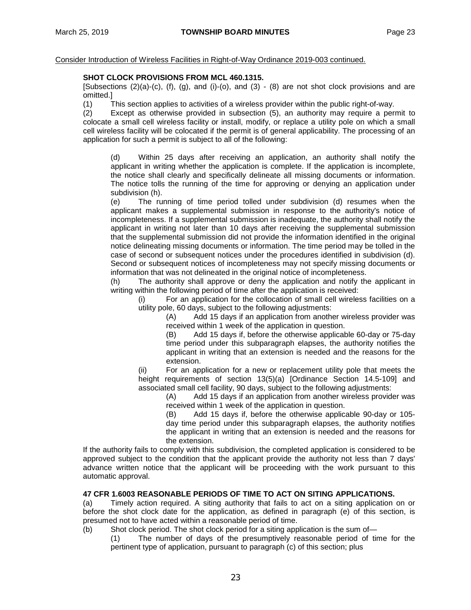## **SHOT CLOCK PROVISIONS FROM MCL 460.1315.**

[Subsections  $(2)(a)-(c)$ ,  $(f)$ ,  $(g)$ , and  $(i)-(o)$ , and  $(3) - (8)$  are not shot clock provisions and are omitted.]

(1) This section applies to activities of a wireless provider within the public right-of-way.<br>(2) Except as otherwise provided in subsection (5), an authority may require a perr

Except as otherwise provided in subsection (5), an authority may require a permit to colocate a small cell wireless facility or install, modify, or replace a utility pole on which a small cell wireless facility will be colocated if the permit is of general applicability. The processing of an application for such a permit is subject to all of the following:

(d) Within 25 days after receiving an application, an authority shall notify the applicant in writing whether the application is complete. If the application is incomplete, the notice shall clearly and specifically delineate all missing documents or information. The notice tolls the running of the time for approving or denying an application under subdivision (h).

(e) The running of time period tolled under subdivision (d) resumes when the applicant makes a supplemental submission in response to the authority's notice of incompleteness. If a supplemental submission is inadequate, the authority shall notify the applicant in writing not later than 10 days after receiving the supplemental submission that the supplemental submission did not provide the information identified in the original notice delineating missing documents or information. The time period may be tolled in the case of second or subsequent notices under the procedures identified in subdivision (d). Second or subsequent notices of incompleteness may not specify missing documents or information that was not delineated in the original notice of incompleteness.

(h) The authority shall approve or deny the application and notify the applicant in writing within the following period of time after the application is received:

(i) For an application for the collocation of small cell wireless facilities on a utility pole, 60 days, subject to the following adjustments:

(A) Add 15 days if an application from another wireless provider was received within 1 week of the application in question.

(B) Add 15 days if, before the otherwise applicable 60-day or 75-day time period under this subparagraph elapses, the authority notifies the applicant in writing that an extension is needed and the reasons for the extension.

(ii) For an application for a new or replacement utility pole that meets the height requirements of section 13(5)(a) [Ordinance Section 14.5-109] and associated small cell facility, 90 days, subject to the following adjustments:

(A) Add 15 days if an application from another wireless provider was received within 1 week of the application in question.

(B) Add 15 days if, before the otherwise applicable 90-day or 105 day time period under this subparagraph elapses, the authority notifies the applicant in writing that an extension is needed and the reasons for the extension.

If the authority fails to comply with this subdivision, the completed application is considered to be approved subject to the condition that the applicant provide the authority not less than 7 days' advance written notice that the applicant will be proceeding with the work pursuant to this automatic approval.

# **47 CFR 1.6003 REASONABLE PERIODS OF TIME TO ACT ON SITING APPLICATIONS.**

(a) Timely action required. A siting authority that fails to act on a siting application on or before the shot clock date for the application, as defined in paragraph (e) of this section, is presumed not to have acted within a reasonable period of time.

(b) Shot clock period. The shot clock period for a siting application is the sum of—

(1) The number of days of the presumptively reasonable period of time for the pertinent type of application, pursuant to paragraph (c) of this section; plus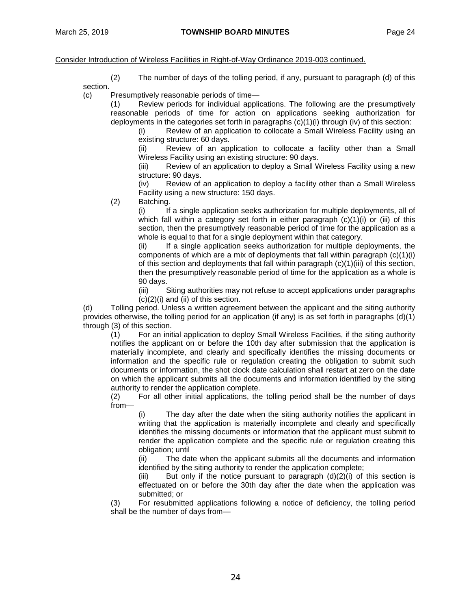(2) The number of days of the tolling period, if any, pursuant to paragraph (d) of this section.

(c) Presumptively reasonable periods of time—

(1) Review periods for individual applications. The following are the presumptively reasonable periods of time for action on applications seeking authorization for deployments in the categories set forth in paragraphs  $(c)(1)(i)$  through  $(iv)$  of this section:

(i) Review of an application to collocate a Small Wireless Facility using an existing structure: 60 days.

(ii) Review of an application to collocate a facility other than a Small Wireless Facility using an existing structure: 90 days.

(iii) Review of an application to deploy a Small Wireless Facility using a new structure: 90 days.

(iv) Review of an application to deploy a facility other than a Small Wireless Facility using a new structure: 150 days.

(2) Batching.

(i) If a single application seeks authorization for multiple deployments, all of which fall within a category set forth in either paragraph  $(c)(1)(i)$  or (iii) of this section, then the presumptively reasonable period of time for the application as a whole is equal to that for a single deployment within that category.

(ii) If a single application seeks authorization for multiple deployments, the components of which are a mix of deployments that fall within paragraph  $(c)(1)(i)$ of this section and deployments that fall within paragraph  $(c)(1)(iii)$  of this section, then the presumptively reasonable period of time for the application as a whole is 90 days.

(iii) Siting authorities may not refuse to accept applications under paragraphs (c)(2)(i) and (ii) of this section.

(d) Tolling period. Unless a written agreement between the applicant and the siting authority provides otherwise, the tolling period for an application (if any) is as set forth in paragraphs  $(d)(1)$ through (3) of this section.

(1) For an initial application to deploy Small Wireless Facilities, if the siting authority notifies the applicant on or before the 10th day after submission that the application is materially incomplete, and clearly and specifically identifies the missing documents or information and the specific rule or regulation creating the obligation to submit such documents or information, the shot clock date calculation shall restart at zero on the date on which the applicant submits all the documents and information identified by the siting authority to render the application complete.

(2) For all other initial applications, the tolling period shall be the number of days from—

(i) The day after the date when the siting authority notifies the applicant in writing that the application is materially incomplete and clearly and specifically identifies the missing documents or information that the applicant must submit to render the application complete and the specific rule or regulation creating this obligation; until

(ii) The date when the applicant submits all the documents and information identified by the siting authority to render the application complete;

(iii) But only if the notice pursuant to paragraph  $(d)(2)(i)$  of this section is effectuated on or before the 30th day after the date when the application was submitted; or

(3) For resubmitted applications following a notice of deficiency, the tolling period shall be the number of days from—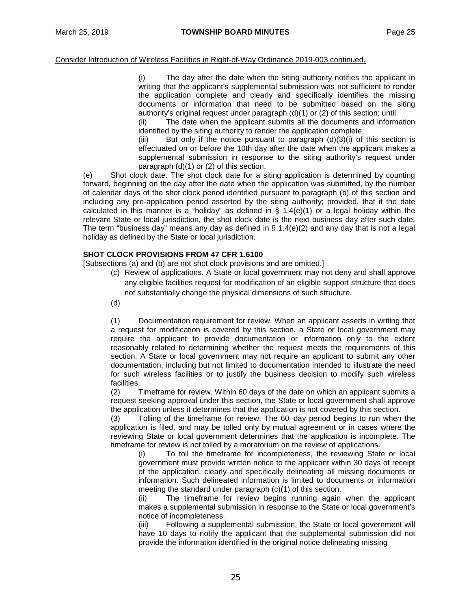(i) The day after the date when the siting authority notifies the applicant in writing that the applicant's supplemental submission was not sufficient to render the application complete and clearly and specifically identifies the missing documents or information that need to be submitted based on the siting authority's original request under paragraph (d)(1) or (2) of this section; until

(ii) The date when the applicant submits all the documents and information identified by the siting authority to render the application complete;

(iii) But only if the notice pursuant to paragraph  $(d)(3)(i)$  of this section is effectuated on or before the 10th day after the date when the applicant makes a supplemental submission in response to the siting authority's request under paragraph (d)(1) or (2) of this section.

(e) Shot clock date. The shot clock date for a siting application is determined by counting forward, beginning on the day after the date when the application was submitted, by the number of calendar days of the shot clock period identified pursuant to paragraph (b) of this section and including any pre-application period asserted by the siting authority; provided, that if the date calculated in this manner is a "holiday" as defined in  $\S$  1.4(e)(1) or a legal holiday within the relevant State or local jurisdiction, the shot clock date is the next business day after such date. The term "business day" means any day as defined in  $\S 1.4(e)(2)$  and any day that is not a legal holiday as defined by the State or local jurisdiction.

# **SHOT CLOCK PROVISIONS FROM 47 CFR 1.6100**

[Subsections (a) and (b) are not shot clock provisions and are omitted.]

- (c) Review of applications. A State or local government may not deny and shall approve any eligible facilities request for modification of an eligible support structure that does not substantially change the physical dimensions of such structure.
- (d)

(1) Documentation requirement for review. When an applicant asserts in writing that a request for modification is covered by this section, a State or local government may require the applicant to provide documentation or information only to the extent reasonably related to determining whether the request meets the requirements of this section. A State or local government may not require an applicant to submit any other documentation, including but not limited to documentation intended to illustrate the need for such wireless facilities or to justify the business decision to modify such wireless facilities.

(2) Timeframe for review. Within 60 days of the date on which an applicant submits a request seeking approval under this section, the State or local government shall approve the application unless it determines that the application is not covered by this section.

(3) Tolling of the timeframe for review. The 60–day period begins to run when the application is filed, and may be tolled only by mutual agreement or in cases where the reviewing State or local government determines that the application is incomplete. The timeframe for review is not tolled by a moratorium on the review of applications.

(i) To toll the timeframe for incompleteness, the reviewing State or local government must provide written notice to the applicant within 30 days of receipt of the application, clearly and specifically delineating all missing documents or information. Such delineated information is limited to documents or information meeting the standard under paragraph (c)(1) of this section.

(ii) The timeframe for review begins running again when the applicant makes a supplemental submission in response to the State or local government's notice of incompleteness.

(iii) Following a supplemental submission, the State or local government will have 10 days to notify the applicant that the supplemental submission did not provide the information identified in the original notice delineating missing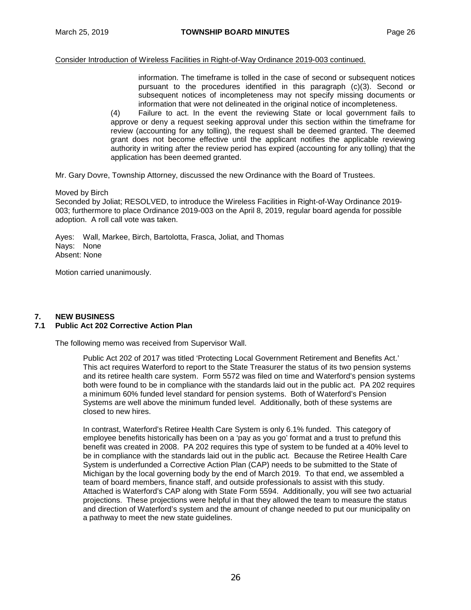information. The timeframe is tolled in the case of second or subsequent notices pursuant to the procedures identified in this paragraph (c)(3). Second or subsequent notices of incompleteness may not specify missing documents or information that were not delineated in the original notice of incompleteness.

(4) Failure to act. In the event the reviewing State or local government fails to approve or deny a request seeking approval under this section within the timeframe for review (accounting for any tolling), the request shall be deemed granted. The deemed grant does not become effective until the applicant notifies the applicable reviewing authority in writing after the review period has expired (accounting for any tolling) that the application has been deemed granted.

Mr. Gary Dovre, Township Attorney, discussed the new Ordinance with the Board of Trustees.

#### Moved by Birch

Seconded by Joliat; RESOLVED, to introduce the Wireless Facilities in Right-of-Way Ordinance 2019- 003; furthermore to place Ordinance 2019-003 on the April 8, 2019, regular board agenda for possible adoption. A roll call vote was taken.

Ayes: Wall, Markee, Birch, Bartolotta, Frasca, Joliat, and Thomas Nays: None Absent: None

Motion carried unanimously.

#### **7. NEW BUSINESS 7.1 Public Act 202 Corrective Action Plan**

The following memo was received from Supervisor Wall.

Public Act 202 of 2017 was titled 'Protecting Local Government Retirement and Benefits Act.' This act requires Waterford to report to the State Treasurer the status of its two pension systems and its retiree health care system. Form 5572 was filed on time and Waterford's pension systems both were found to be in compliance with the standards laid out in the public act. PA 202 requires a minimum 60% funded level standard for pension systems. Both of Waterford's Pension Systems are well above the minimum funded level. Additionally, both of these systems are closed to new hires.

In contrast, Waterford's Retiree Health Care System is only 6.1% funded. This category of employee benefits historically has been on a 'pay as you go' format and a trust to prefund this benefit was created in 2008. PA 202 requires this type of system to be funded at a 40% level to be in compliance with the standards laid out in the public act. Because the Retiree Health Care System is underfunded a Corrective Action Plan (CAP) needs to be submitted to the State of Michigan by the local governing body by the end of March 2019. To that end, we assembled a team of board members, finance staff, and outside professionals to assist with this study. Attached is Waterford's CAP along with State Form 5594. Additionally, you will see two actuarial projections. These projections were helpful in that they allowed the team to measure the status and direction of Waterford's system and the amount of change needed to put our municipality on a pathway to meet the new state guidelines.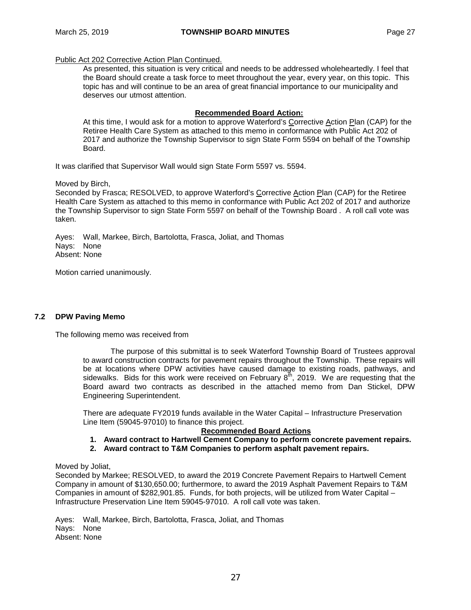## Public Act 202 Corrective Action Plan Continued.

As presented, this situation is very critical and needs to be addressed wholeheartedly. I feel that the Board should create a task force to meet throughout the year, every year, on this topic. This topic has and will continue to be an area of great financial importance to our municipality and deserves our utmost attention.

# **Recommended Board Action:**

At this time, I would ask for a motion to approve Waterford's Corrective Action Plan (CAP) for the Retiree Health Care System as attached to this memo in conformance with Public Act 202 of 2017 and authorize the Township Supervisor to sign State Form 5594 on behalf of the Township Board.

It was clarified that Supervisor Wall would sign State Form 5597 vs. 5594.

Moved by Birch,

Seconded by Frasca; RESOLVED, to approve Waterford's Corrective Action Plan (CAP) for the Retiree Health Care System as attached to this memo in conformance with Public Act 202 of 2017 and authorize the Township Supervisor to sign State Form 5597 on behalf of the Township Board . A roll call vote was taken.

Ayes: Wall, Markee, Birch, Bartolotta, Frasca, Joliat, and Thomas Nays: None Absent: None

Motion carried unanimously.

## **7.2 DPW Paving Memo**

The following memo was received from

The purpose of this submittal is to seek Waterford Township Board of Trustees approval to award construction contracts for pavement repairs throughout the Township. These repairs will be at locations where DPW activities have caused damage to existing roads, pathways, and sidewalks. Bids for this work were received on February  $8^{th}$ , 2019. We are requesting that the Board award two contracts as described in the attached memo from Dan Stickel, DPW Engineering Superintendent.

There are adequate FY2019 funds available in the Water Capital – Infrastructure Preservation Line Item (59045-97010) to finance this project.

#### **Recommended Board Actions**

- **1. Award contract to Hartwell Cement Company to perform concrete pavement repairs.**
- **2. Award contract to T&M Companies to perform asphalt pavement repairs.**

Moved by Joliat,

Seconded by Markee; RESOLVED, to award the 2019 Concrete Pavement Repairs to Hartwell Cement Company in amount of \$130,650.00; furthermore, to award the 2019 Asphalt Pavement Repairs to T&M Companies in amount of \$282,901.85. Funds, for both projects, will be utilized from Water Capital – Infrastructure Preservation Line Item 59045-97010. A roll call vote was taken.

Ayes: Wall, Markee, Birch, Bartolotta, Frasca, Joliat, and Thomas Nays: None Absent: None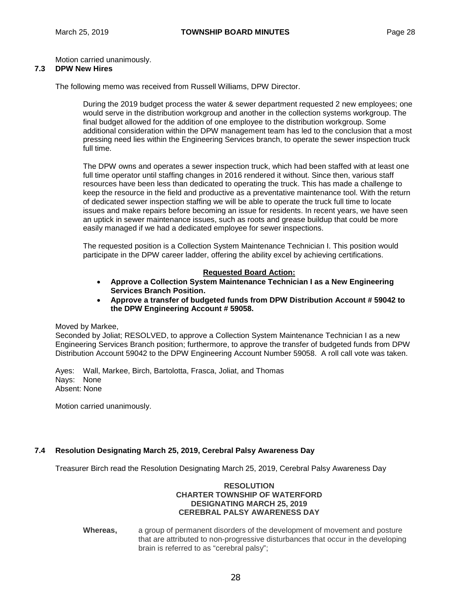Motion carried unanimously.

# **7.3 DPW New Hires**

The following memo was received from Russell Williams, DPW Director.

During the 2019 budget process the water & sewer department requested 2 new employees; one would serve in the distribution workgroup and another in the collection systems workgroup. The final budget allowed for the addition of one employee to the distribution workgroup. Some additional consideration within the DPW management team has led to the conclusion that a most pressing need lies within the Engineering Services branch, to operate the sewer inspection truck full time.

The DPW owns and operates a sewer inspection truck, which had been staffed with at least one full time operator until staffing changes in 2016 rendered it without. Since then, various staff resources have been less than dedicated to operating the truck. This has made a challenge to keep the resource in the field and productive as a preventative maintenance tool. With the return of dedicated sewer inspection staffing we will be able to operate the truck full time to locate issues and make repairs before becoming an issue for residents. In recent years, we have seen an uptick in sewer maintenance issues, such as roots and grease buildup that could be more easily managed if we had a dedicated employee for sewer inspections.

The requested position is a Collection System Maintenance Technician I. This position would participate in the DPW career ladder, offering the ability excel by achieving certifications.

## **Requested Board Action:**

- **Approve a Collection System Maintenance Technician I as a New Engineering Services Branch Position.**
- **Approve a transfer of budgeted funds from DPW Distribution Account # 59042 to the DPW Engineering Account # 59058.**

Moved by Markee,

Seconded by Joliat; RESOLVED, to approve a Collection System Maintenance Technician I as a new Engineering Services Branch position; furthermore, to approve the transfer of budgeted funds from DPW Distribution Account 59042 to the DPW Engineering Account Number 59058. A roll call vote was taken.

Ayes: Wall, Markee, Birch, Bartolotta, Frasca, Joliat, and Thomas Nays: None Absent: None

Motion carried unanimously.

# **7.4 Resolution Designating March 25, 2019, Cerebral Palsy Awareness Day**

Treasurer Birch read the Resolution Designating March 25, 2019, Cerebral Palsy Awareness Day

## **RESOLUTION CHARTER TOWNSHIP OF WATERFORD DESIGNATING MARCH 25, 2019 CEREBRAL PALSY AWARENESS DAY**

**Whereas,** a group of permanent disorders of the development of movement and posture that are attributed to non-progressive disturbances that occur in the developing brain is referred to as "cerebral palsy";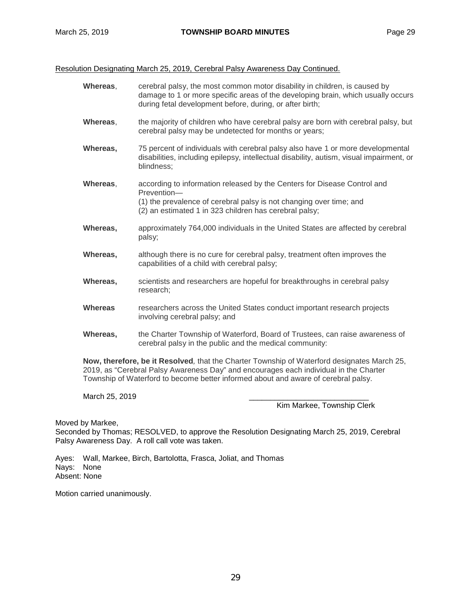## Resolution Designating March 25, 2019, Cerebral Palsy Awareness Day Continued.

| Whereas,       | cerebral palsy, the most common motor disability in children, is caused by<br>damage to 1 or more specific areas of the developing brain, which usually occurs<br>during fetal development before, during, or after birth; |
|----------------|----------------------------------------------------------------------------------------------------------------------------------------------------------------------------------------------------------------------------|
| Whereas,       | the majority of children who have cerebral palsy are born with cerebral palsy, but<br>cerebral palsy may be undetected for months or years;                                                                                |
| Whereas,       | 75 percent of individuals with cerebral palsy also have 1 or more developmental<br>disabilities, including epilepsy, intellectual disability, autism, visual impairment, or<br>blindness;                                  |
| Whereas,       | according to information released by the Centers for Disease Control and<br>Prevention-<br>(1) the prevalence of cerebral palsy is not changing over time; and<br>(2) an estimated 1 in 323 children has cerebral palsy;   |
| Whereas,       | approximately 764,000 individuals in the United States are affected by cerebral<br>palsy;                                                                                                                                  |
| Whereas,       | although there is no cure for cerebral palsy, treatment often improves the<br>capabilities of a child with cerebral palsy;                                                                                                 |
| Whereas,       | scientists and researchers are hopeful for breakthroughs in cerebral palsy<br>research;                                                                                                                                    |
| <b>Whereas</b> | researchers across the United States conduct important research projects<br>involving cerebral palsy; and                                                                                                                  |
| Whereas,       | the Charter Township of Waterford, Board of Trustees, can raise awareness of                                                                                                                                               |

**Now, therefore, be it Resolved***,* that the Charter Township of Waterford designates March 25, 2019, as "Cerebral Palsy Awareness Day" and encourages each individual in the Charter Township of Waterford to become better informed about and aware of cerebral palsy.

cerebral palsy in the public and the medical community:

March 25, 2019

Kim Markee, Township Clerk

Moved by Markee,

Seconded by Thomas; RESOLVED, to approve the Resolution Designating March 25, 2019, Cerebral Palsy Awareness Day. A roll call vote was taken.

Ayes: Wall, Markee, Birch, Bartolotta, Frasca, Joliat, and Thomas Nays: None Absent: None

Motion carried unanimously.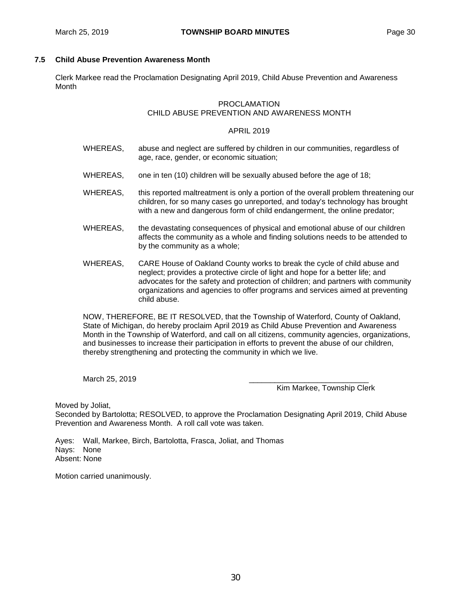# **7.5 Child Abuse Prevention Awareness Month**

Clerk Markee read the Proclamation Designating April 2019, Child Abuse Prevention and Awareness Month

# PROCLAMATION CHILD ABUSE PREVENTION AND AWARENESS MONTH

## APRIL 2019

- WHEREAS, abuse and neglect are suffered by children in our communities, regardless of age, race, gender, or economic situation;
- WHEREAS, one in ten (10) children will be sexually abused before the age of 18;
- WHEREAS, this reported maltreatment is only a portion of the overall problem threatening our children, for so many cases go unreported, and today's technology has brought with a new and dangerous form of child endangerment, the online predator;
- WHEREAS, the devastating consequences of physical and emotional abuse of our children affects the community as a whole and finding solutions needs to be attended to by the community as a whole;
- WHEREAS, CARE House of Oakland County works to break the cycle of child abuse and neglect; provides a protective circle of light and hope for a better life; and advocates for the safety and protection of children; and partners with community organizations and agencies to offer programs and services aimed at preventing child abuse.

NOW, THEREFORE, BE IT RESOLVED, that the Township of Waterford, County of Oakland, State of Michigan, do hereby proclaim April 2019 as Child Abuse Prevention and Awareness Month in the Township of Waterford, and call on all citizens, community agencies, organizations, and businesses to increase their participation in efforts to prevent the abuse of our children, thereby strengthening and protecting the community in which we live.

March 25, 2019

Kim Markee, Township Clerk

Moved by Joliat,

Seconded by Bartolotta; RESOLVED, to approve the Proclamation Designating April 2019, Child Abuse Prevention and Awareness Month. A roll call vote was taken.

Ayes: Wall, Markee, Birch, Bartolotta, Frasca, Joliat, and Thomas Nays: None Absent: None

Motion carried unanimously.